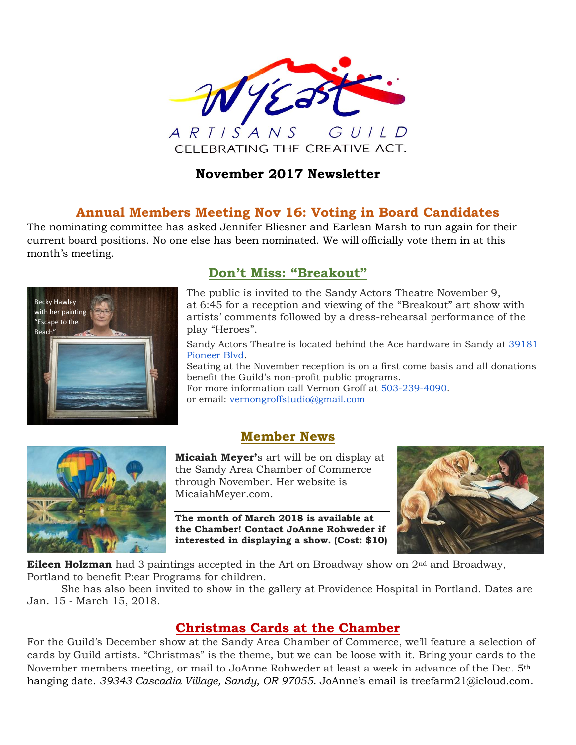

### **November 2017 Newsletter**

### **Annual Members Meeting Nov 16: Voting in Board Candidates**

The nominating committee has asked Jennifer Bliesner and Earlean Marsh to run again for their current board positions. No one else has been nominated. We will officially vote them in at this month's meeting.



### **Don't Miss: "Breakout"**

The public is invited to the Sandy Actors Theatre November 9, at 6:45 for a reception and viewing of the "Breakout" art show with artists' comments followed by a dress-rehearsal performance of the play "Heroes".

Sandy Actors Theatre is located behind the Ace hardware in Sandy at [39181](https://maps.google.com/?q=39181+Pioneer+Blvd&entry=gmail&source=g)  [Pioneer Blvd.](https://maps.google.com/?q=39181+Pioneer+Blvd&entry=gmail&source=g)

Seating at the November reception is on a first come basis and all donations benefit the Guild's non-profit public programs.

For more information call Vernon Groff at [503-239-4090.](tel:(503)%20239-4090) or email: [vernongroffstudio@gmail.com](mailto:vernongroffstudio@gmail.com)



## **Member News**

**Micaiah Meyer'**s art will be on display at the Sandy Area Chamber of Commerce through November. Her website is MicaiahMeyer.com.

**The month of March 2018 is available at the Chamber! Contact JoAnne Rohweder if interested in displaying a show. (Cost: \$10)**



**Eileen Holzman** had 3 paintings accepted in the Art on Broadway show on 2<sup>nd</sup> and Broadway, Portland to benefit P:ear Programs for children.

She has also been invited to show in the gallery at Providence Hospital in Portland. Dates are Jan. 15 - March 15, 2018.

## **Christmas Cards at the Chamber**

For the Guild's December show at the Sandy Area Chamber of Commerce, we'll feature a selection of cards by Guild artists. "Christmas" is the theme, but we can be loose with it. Bring your cards to the November members meeting, or mail to JoAnne Rohweder at least a week in advance of the Dec. 5th hanging date. *39343 Cascadia Village, Sandy, OR 97055*. JoAnne's email is treefarm21@icloud.com.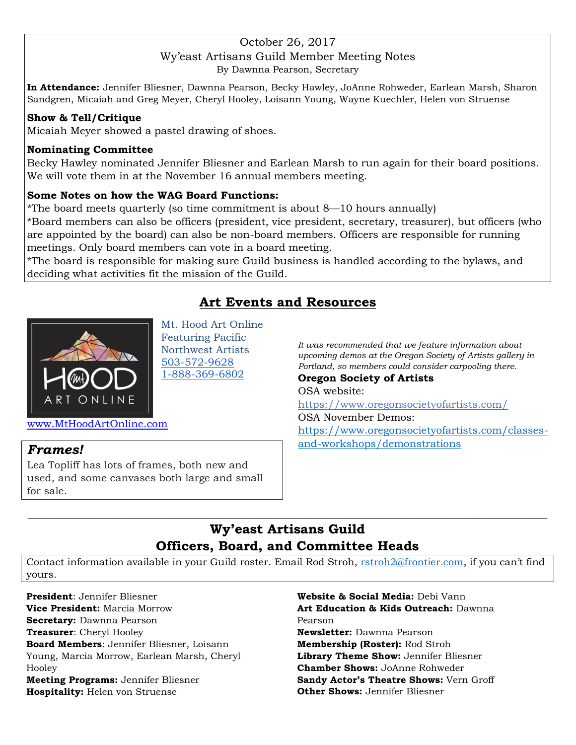#### October 26, 2017 Wy'east Artisans Guild Member Meeting Notes By Dawnna Pearson, Secretary

**In Attendance:** Jennifer Bliesner, Dawnna Pearson, Becky Hawley, JoAnne Rohweder, Earlean Marsh, Sharon Sandgren, Micaiah and Greg Meyer, Cheryl Hooley, Loisann Young, Wayne Kuechler, Helen von Struense

#### **Show & Tell/Critique**

Micaiah Meyer showed a pastel drawing of shoes.

#### **Nominating Committee**

Becky Hawley nominated Jennifer Bliesner and Earlean Marsh to run again for their board positions. We will vote them in at the November 16 annual members meeting.

#### **Some Notes on how the WAG Board Functions:**

\*The board meets quarterly (so time commitment is about 8—10 hours annually)

\*Board members can also be officers (president, vice president, secretary, treasurer), but officers (who are appointed by the board) can also be non-board members. Officers are responsible for running meetings. Only board members can vote in a board meeting.

\*The board is responsible for making sure Guild business is handled according to the bylaws, and deciding what activities fit the mission of the Guild.

# **Art Events and Resources**



Mt. Hood Art Online Featuring Pacific Northwest Artists [503-572-9628](tel:(503)%20572-9628) [1-888-369-6802](tel:(888)%20369-6802)

*It was recommended that we feature information about upcoming demos at the Oregon Society of Artists gallery in Portland, so members could consider carpooling there.*

**Oregon Society of Artists** OSA website: <https://www.oregonsocietyofartists.com/> OSA November Demos: [https://www.oregonsocietyofartists.com/classes](https://www.oregonsocietyofartists.com/classes-and-workshops/demonstrations)[and-workshops/demonstrations](https://www.oregonsocietyofartists.com/classes-and-workshops/demonstrations)

[www.MtHoodArtOnline.com](http://www.mthoodartonline.com/)

#### *Frames!*

Lea Topliff has lots of frames, both new and used, and some canvases both large and small for sale.

## **Wy'east Artisans Guild Officers, Board, and Committee Heads**

 $\_$  , and the set of the set of the set of the set of the set of the set of the set of the set of the set of the set of the set of the set of the set of the set of the set of the set of the set of the set of the set of th

Contact information available in your Guild roster. Email Rod Stroh, [rstroh2@frontier.com](mailto:rstroh2@frontier.com), if you can't find yours.

**President**: Jennifer Bliesner **Vice President:** Marcia Morrow **Secretary:** Dawnna Pearson **Treasurer**: Cheryl Hooley **Board Members**: Jennifer Bliesner, Loisann Young, Marcia Morrow, Earlean Marsh, Cheryl Hooley **Meeting Programs:** Jennifer Bliesner **Hospitality:** Helen von Struense

**Website & Social Media:** Debi Vann **Art Education & Kids Outreach:** Dawnna Pearson **Newsletter:** Dawnna Pearson **Membership (Roster):** Rod Stroh **Library Theme Show:** Jennifer Bliesner **Chamber Shows:** JoAnne Rohweder **Sandy Actor's Theatre Shows:** Vern Groff **Other Shows:** Jennifer Bliesner